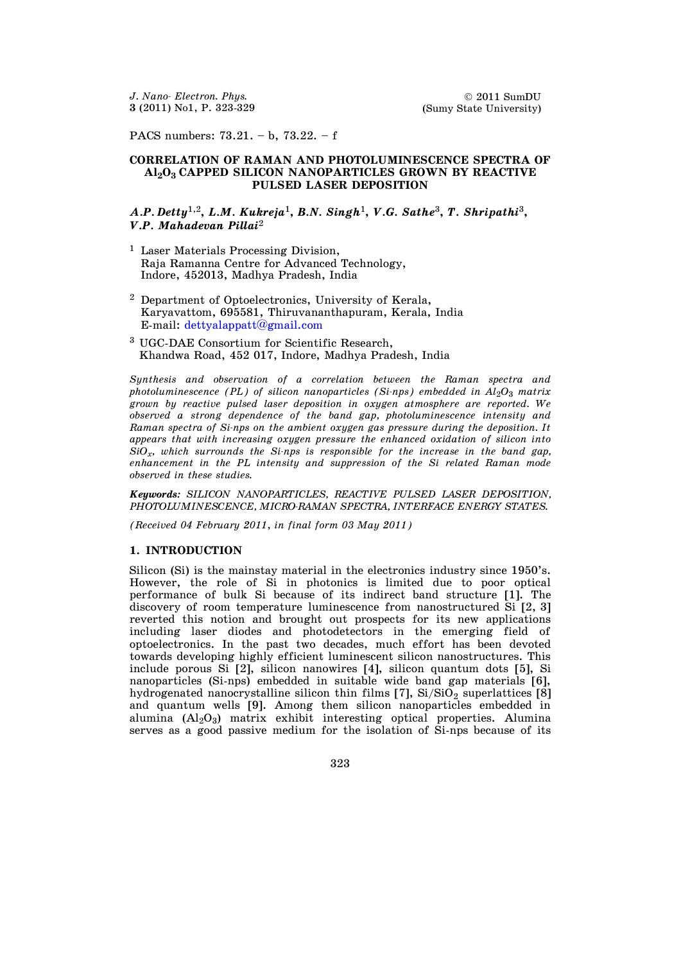*J. Nano- Electron. Phys.* **3** (2011) No1, P. 323-329

 $@ 2011$  SumDU (Sumy State University)

PACS numbers: 73.21. – b, 73.22. – f

### **CORRELATION OF RAMAN AND PHOTOLUMINESCENCE SPECTRA OF Al2O3 CAPPED SILICON NANOPARTICLES GROWN BY REACTIVE PULSED LASER DEPOSITION**

# *A.P. Detty*1,2**,** *L.M. Kukreja*1**,** *B.N. Singh*1**,** *V.G. Sathe*3**,** *T. Shripathi*3**,**  *V.P. Mahadevan Pillai*<sup>2</sup>

- <sup>1</sup> Laser Materials Processing Division, Raja Ramanna Centre for Advanced Technology, Indore, 452013, Madhya Pradesh, India
- <sup>2</sup> Department of Optoelectronics, University of Kerala, Karyavattom, 695581, Thiruvananthapuram, Kerala, India E-mail: [dettyalappatt@gmail.com](mailto:dettyalappatt@gmail.com)
- <sup>3</sup> UGC-DAE Consortium for Scientific Research, Khandwa Road, 452 017, Indore, Madhya Pradesh, India

*Synthesis and observation of a correlation between the Raman spectra and photoluminescence (PL) of silicon nanoparticles (Si-nps) embedded in Al*2*O*3 *matrix grown by reactive pulsed laser deposition in oxygen atmosphere are reported. We observed a strong dependence of the band gap, photoluminescence intensity and Raman spectra of Si-nps on the ambient oxygen gas pressure during the deposition. It appears that with increasing oxygen pressure the enhanced oxidation of silicon into*   $\overline{SiO}_x$ *, which surrounds the Si-nps is responsible for the increase in the band gap, enhancement in the PL intensity and suppression of the Si related Raman mode observed in these studies.* 

*Keywords: SILICON NANOPARTICLES, REACTIVE PULSED LASER DEPOSITION, PHOTOLUMINESCENCE, MICRO-RAMAN SPECTRA, INTERFACE ENERGY STATES.* 

*(Received 04 February 2011*, *in final form 03 May 2011)* 

# **1. INTRODUCTION**

Silicon (Si) is the mainstay material in the electronics industry since 1950's. However, the role of Si in photonics is limited due to poor optical performance of bulk Si because of its indirect band structure [1]. The discovery of room temperature luminescence from nanostructured Si [2, 3] reverted this notion and brought out prospects for its new applications including laser diodes and photodetectors in the emerging field of optoelectronics. In the past two decades, much effort has been devoted towards developing highly efficient luminescent silicon nanostructures. This include porous Si [2], silicon nanowires [4], silicon quantum dots [5], Si nanoparticles (Si-nps) embedded in suitable wide band gap materials [6], hydrogenated nanocrystalline silicon thin films  $[7]$ , Si $/SiO<sub>2</sub>$  superlattices  $[8]$ and quantum wells [9]. Among them silicon nanoparticles embedded in alumina  $(Al_2O_3)$  matrix exhibit interesting optical properties. Alumina serves as a good passive medium for the isolation of Si-nps because of its

323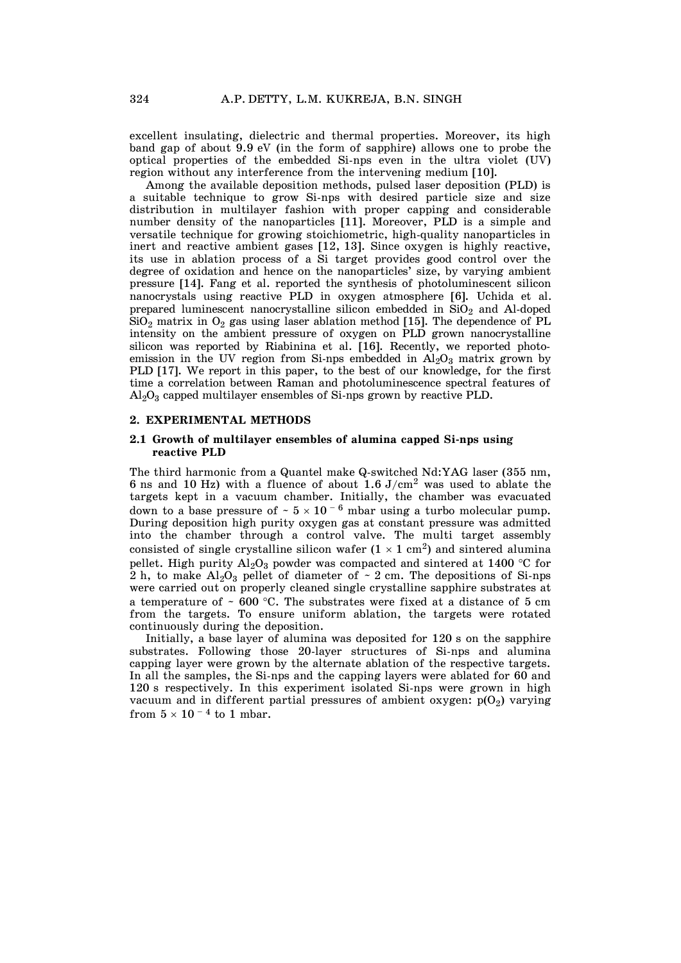excellent insulating, dielectric and thermal properties. Moreover, its high band gap of about 9.9 eV (in the form of sapphire) allows one to probe the optical properties of the embedded Si-nps even in the ultra violet (UV) region without any interference from the intervening medium [10].

 Among the available deposition methods, pulsed laser deposition (PLD) is a suitable technique to grow Si-nps with desired particle size and size distribution in multilayer fashion with proper capping and considerable number density of the nanoparticles [11]. Moreover, PLD is a simple and versatile technique for growing stoichiometric, high-quality nanoparticles in inert and reactive ambient gases [12, 13]. Since oxygen is highly reactive, its use in ablation process of a Si target provides good control over the degree of oxidation and hence on the nanoparticles' size, by varying ambient pressure [14]. Fang et al. reported the synthesis of photoluminescent silicon nanocrystals using reactive PLD in oxygen atmosphere [6]. Uchida et al*.* prepared luminescent nanocrystalline silicon embedded in  $\overline{SiO}_2$  and Al-doped  $\rm SiO_2$  matrix in  $\rm O_2$  gas using laser ablation method [15]. The dependence of PL intensity on the ambient pressure of oxygen on PLD grown nanocrystalline silicon was reported by Riabinina et al. [16]. Recently, we reported photoemission in the UV region from Si-nps embedded in  $Al_2O_3$  matrix grown by PLD [17]. We report in this paper, to the best of our knowledge, for the first time a correlation between Raman and photoluminescence spectral features of  $\text{Al}_2\text{O}_3$  capped multilayer ensembles of Si-nps grown by reactive PLD.

### **2. EXPERIMENTAL METHODS**

## **2.1 Growth of multilayer ensembles of alumina capped Si-nps using reactive PLD**

The third harmonic from a Quantel make Q-switched Nd:YAG laser (355 nm, 6 ns and 10 Hz) with a fluence of about 1.6 J/cm<sup>2</sup> was used to ablate the targets kept in a vacuum chamber. Initially, the chamber was evacuated down to a base pressure of  $\sim 5 \times 10^{-6}$  mbar using a turbo molecular pump. During deposition high purity oxygen gas at constant pressure was admitted into the chamber through a control valve. The multi target assembly consisted of single crystalline silicon wafer  $(1 \times 1 \text{ cm}^2)$  and sintered alumina pellet. High purity  $Al_2O_3$  powder was compacted and sintered at 1400 °C for 2 h, to make  $Al_2O_3$  pellet of diameter of  $\sim$  2 cm. The depositions of Si-nps were carried out on properly cleaned single crystalline sapphire substrates at a temperature of  $\sim 600$  °C. The substrates were fixed at a distance of 5 cm from the targets. To ensure uniform ablation, the targets were rotated continuously during the deposition.

 Initially, a base layer of alumina was deposited for 120 s on the sapphire substrates. Following those 20-layer structures of Si-nps and alumina capping layer were grown by the alternate ablation of the respective targets. In all the samples, the Si-nps and the capping layers were ablated for 60 and 120 s respectively. In this experiment isolated Si-nps were grown in high vacuum and in different partial pressures of ambient oxygen:  $p(0<sub>2</sub>)$  varying from  $5 \times 10^{-4}$  to 1 mbar.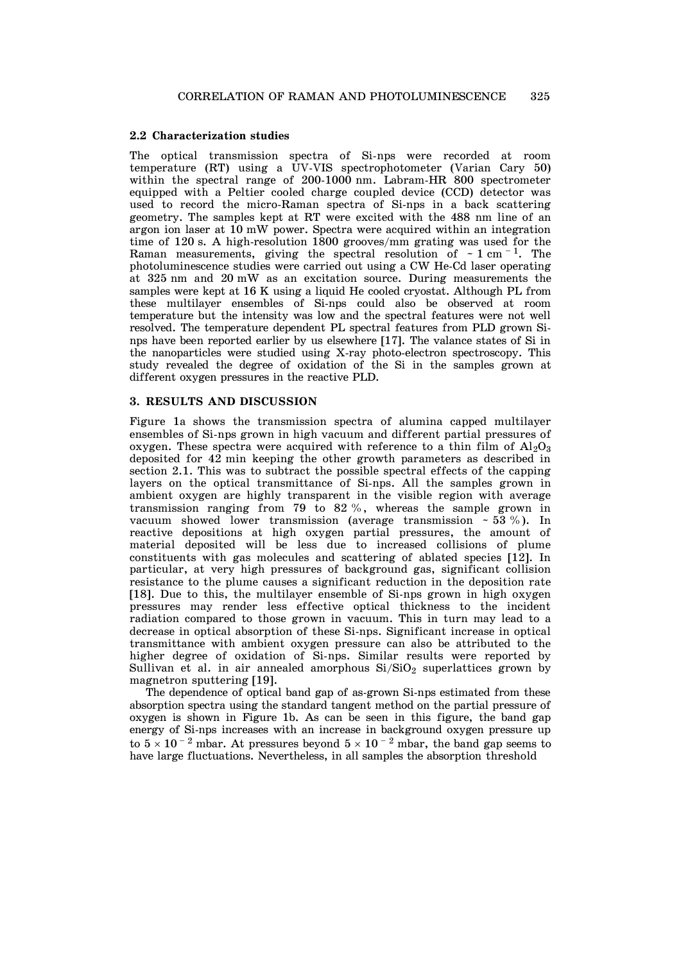### **2.2 Characterization studies**

The optical transmission spectra of Si-nps were recorded at room temperature (RT) using a UV-VIS spectrophotometer (Varian Cary 50) within the spectral range of 200-1000 nm. Labram-HR 800 spectrometer equipped with a Peltier cooled charge coupled device (CCD) detector was used to record the micro-Raman spectra of Si-nps in a back scattering geometry. The samples kept at RT were excited with the 488 nm line of an argon ion laser at 10 mW power. Spectra were acquired within an integration time of 120 s. A high-resolution 1800 grooves/mm grating was used for the Raman measurements, giving the spectral resolution of  $\sim 1$  cm<sup>-1</sup>. The photoluminescence studies were carried out using a CW He-Cd laser operating at 325 nm and 20 mW as an excitation source. During measurements the samples were kept at 16 K using a liquid He cooled cryostat. Although PL from these multilayer ensembles of Si-nps could also be observed at room temperature but the intensity was low and the spectral features were not well resolved. The temperature dependent PL spectral features from PLD grown Sinps have been reported earlier by us elsewhere [17]. The valance states of Si in the nanoparticles were studied using X-ray photo-electron spectroscopy. This study revealed the degree of oxidation of the Si in the samples grown at different oxygen pressures in the reactive PLD.

# **3. RESULTS AND DISCUSSION**

Figure 1a shows the transmission spectra of alumina capped multilayer ensembles of Si-nps grown in high vacuum and different partial pressures of oxygen. These spectra were acquired with reference to a thin film of  $A1_2O_3$ deposited for 42 min keeping the other growth parameters as described in section 2.1. This was to subtract the possible spectral effects of the capping layers on the optical transmittance of Si-nps. All the samples grown in ambient oxygen are highly transparent in the visible region with average transmission ranging from 79 to 82 %, whereas the sample grown in vacuum showed lower transmission (average transmission  $\sim 53$  %). In reactive depositions at high oxygen partial pressures, the amount of material deposited will be less due to increased collisions of plume constituents with gas molecules and scattering of ablated species [12]. In particular, at very high pressures of background gas, significant collision resistance to the plume causes a significant reduction in the deposition rate [18]. Due to this, the multilayer ensemble of Si-nps grown in high oxygen pressures may render less effective optical thickness to the incident radiation compared to those grown in vacuum. This in turn may lead to a decrease in optical absorption of these Si-nps. Significant increase in optical transmittance with ambient oxygen pressure can also be attributed to the higher degree of oxidation of Si-nps. Similar results were reported by Sullivan et al. in air annealed amorphous  $Si/SiO<sub>2</sub>$  superlattices grown by magnetron sputtering [19].

 The dependence of optical band gap of as-grown Si-nps estimated from these absorption spectra using the standard tangent method on the partial pressure of oxygen is shown in Figure 1b. As can be seen in this figure, the band gap energy of Si-nps increases with an increase in background oxygen pressure up to  $5 \times 10^{-2}$  mbar. At pressures beyond  $5 \times 10^{-2}$  mbar, the band gap seems to have large fluctuations. Nevertheless, in all samples the absorption threshold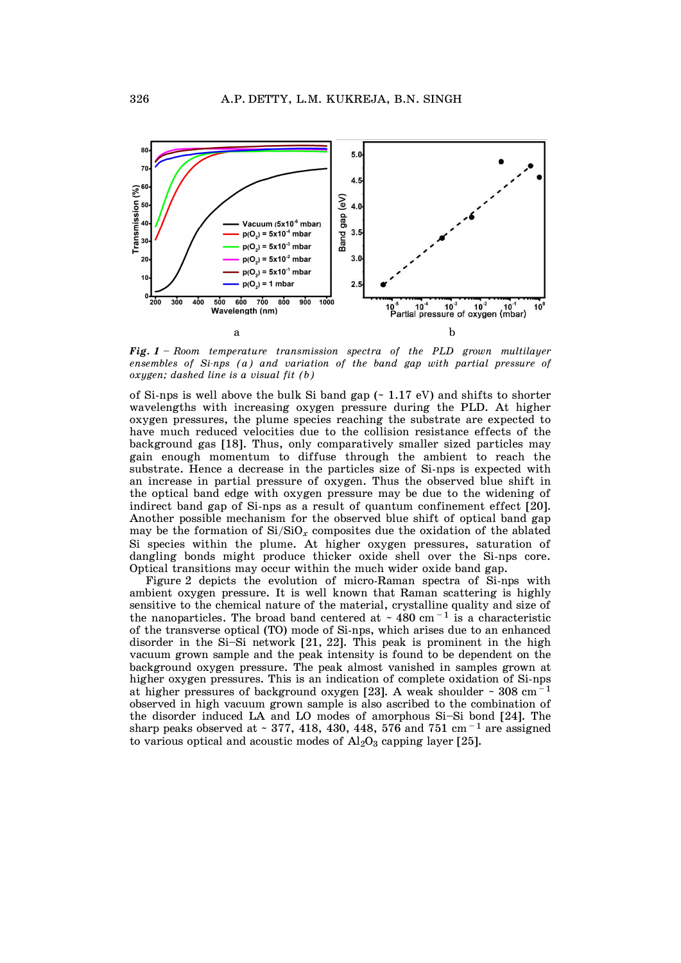

*Fig. 1 – Room temperature transmission spectra of the PLD grown multilayer ensembles of Si-nps (a) and variation of the band gap with partial pressure of oxygen; dashed line is a visual fit (b)* 

of Si-nps is well above the bulk Si band gap  $($   $\sim$  1.17 eV) and shifts to shorter wavelengths with increasing oxygen pressure during the PLD. At higher oxygen pressures, the plume species reaching the substrate are expected to have much reduced velocities due to the collision resistance effects of the background gas [18]. Thus, only comparatively smaller sized particles may gain enough momentum to diffuse through the ambient to reach the substrate. Hence a decrease in the particles size of Si-nps is expected with an increase in partial pressure of oxygen. Thus the observed blue shift in the optical band edge with oxygen pressure may be due to the widening of indirect band gap of Si-nps as a result of quantum confinement effect [20]. Another possible mechanism for the observed blue shift of optical band gap may be the formation of  $\text{Si/SiO}_x$  composites due the oxidation of the ablated Si species within the plume. At higher oxygen pressures, saturation of dangling bonds might produce thicker oxide shell over the Si-nps core. Optical transitions may occur within the much wider oxide band gap.

 Figure 2 depicts the evolution of micro-Raman spectra of Si-nps with ambient oxygen pressure. It is well known that Raman scattering is highly sensitive to the chemical nature of the material, crystalline quality and size of the nanoparticles. The broad band centered at  $\sim 480$  cm<sup>-1</sup> is a characteristic of the transverse optical (TO) mode of Si-nps, which arises due to an enhanced disorder in the Si–Si network [21, 22]. This peak is prominent in the high vacuum grown sample and the peak intensity is found to be dependent on the background oxygen pressure. The peak almost vanished in samples grown at higher oxygen pressures. This is an indication of complete oxidation of Si-nps at higher pressures of background oxygen [23]. A weak shoulder  $\sim 308$  cm<sup>-1</sup> observed in high vacuum grown sample is also ascribed to the combination of the disorder induced LA and LO modes of amorphous Si–Si bond [24]. The sharp peaks observed at  $\sim$  377, 418, 430, 448, 576 and 751 cm<sup>-1</sup> are assigned to various optical and acoustic modes of  $Al_2O_3$  capping layer [25].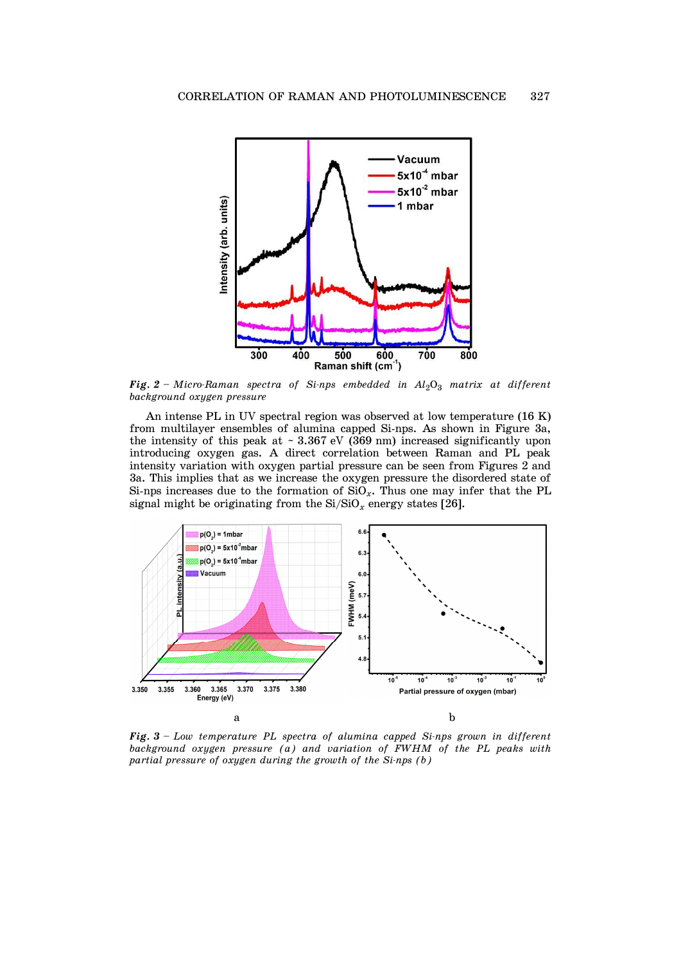

*Fig. 2 – Micro-Raman spectra of Si-nps embedded in Al*2O3 *matrix at different background oxygen pressure*

An intense PL in UV spectral region was observed at low temperature (16 K) from multilayer ensembles of alumina capped Si-nps. As shown in Figure 3a, the intensity of this peak at  $\sim 3.367$  eV (369 nm) increased significantly upon introducing oxygen gas. A direct correlation between Raman and PL peak intensity variation with oxygen partial pressure can be seen from Figures 2 and 3a. This implies that as we increase the oxygen pressure the disordered state of Si-nps increases due to the formation of  $SiO<sub>x</sub>$ . Thus one may infer that the PL signal might be originating from the  $Si/SiO<sub>x</sub>$  energy states [26].



*Fig. 3 – Low temperature PL spectra of alumina capped Si-nps grown in different background oxygen pressure (a) and variation of FWHM of the PL peaks with partial pressure of oxygen during the growth of the Si-nps (b)*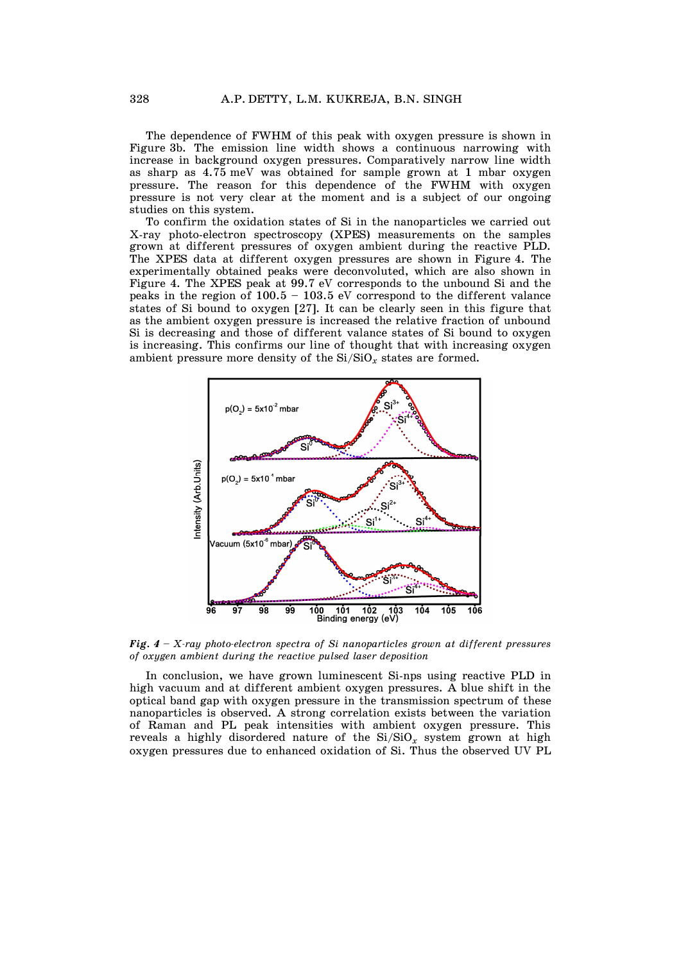The dependence of FWHM of this peak with oxygen pressure is shown in Figure 3b. The emission line width shows a continuous narrowing with increase in background oxygen pressures. Comparatively narrow line width as sharp as 4.75 meV was obtained for sample grown at 1 mbar oxygen pressure. The reason for this dependence of the FWHM with oxygen pressure is not very clear at the moment and is a subject of our ongoing studies on this system.

 To confirm the oxidation states of Si in the nanoparticles we carried out X-ray photo-electron spectroscopy (XPES) measurements on the samples grown at different pressures of oxygen ambient during the reactive PLD. The XPES data at different oxygen pressures are shown in Figure 4. The experimentally obtained peaks were deconvoluted, which are also shown in Figure 4. The XPES peak at 99.7 eV corresponds to the unbound Si and the peaks in the region of  $100.5 - 103.5$  eV correspond to the different valance states of Si bound to oxygen [27]. It can be clearly seen in this figure that as the ambient oxygen pressure is increased the relative fraction of unbound Si is decreasing and those of different valance states of Si bound to oxygen is increasing. This confirms our line of thought that with increasing oxygen ambient pressure more density of the Si/SiO*x* states are formed.



*Fig. 4 – X-ray photo-electron spectra of Si nanoparticles grown at different pressures of oxygen ambient during the reactive pulsed laser deposition*

 In conclusion, we have grown luminescent Si-nps using reactive PLD in high vacuum and at different ambient oxygen pressures. A blue shift in the optical band gap with oxygen pressure in the transmission spectrum of these nanoparticles is observed. A strong correlation exists between the variation of Raman and PL peak intensities with ambient oxygen pressure. This reveals a highly disordered nature of the  $Si/SiO<sub>x</sub>$  system grown at high oxygen pressures due to enhanced oxidation of Si. Thus the observed UV PL